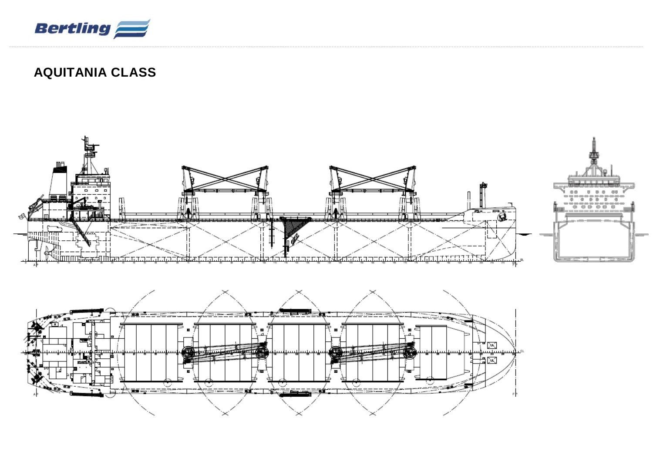

## **AQUITANIA CLASS**